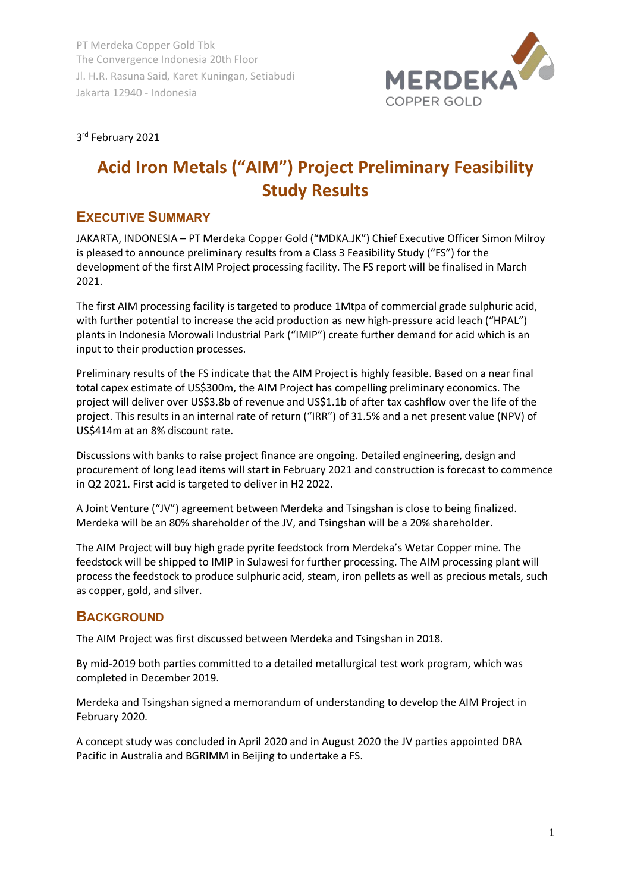

#### 3rd February 2021

# **Acid Iron Metals ("AIM") Project Preliminary Feasibility Study Results**

### **EXECUTIVE SUMMARY**

JAKARTA, INDONESIA – PT Merdeka Copper Gold ("MDKA.JK") Chief Executive Officer Simon Milroy is pleased to announce preliminary results from a Class 3 Feasibility Study ("FS") for the development of the first AIM Project processing facility. The FS report will be finalised in March 2021.

The first AIM processing facility is targeted to produce 1Mtpa of commercial grade sulphuric acid, with further potential to increase the acid production as new high-pressure acid leach ("HPAL") plants in Indonesia Morowali Industrial Park ("IMIP") create further demand for acid which is an input to their production processes.

Preliminary results of the FS indicate that the AIM Project is highly feasible. Based on a near final total capex estimate of US\$300m, the AIM Project has compelling preliminary economics. The project will deliver over US\$3.8b of revenue and US\$1.1b of after tax cashflow over the life of the project. This results in an internal rate of return ("IRR") of 31.5% and a net present value (NPV) of US\$414m at an 8% discount rate.

Discussions with banks to raise project finance are ongoing. Detailed engineering, design and procurement of long lead items will start in February 2021 and construction is forecast to commence in Q2 2021. First acid is targeted to deliver in H2 2022.

A Joint Venture ("JV") agreement between Merdeka and Tsingshan is close to being finalized. Merdeka will be an 80% shareholder of the JV, and Tsingshan will be a 20% shareholder.

The AIM Project will buy high grade pyrite feedstock from Merdeka's Wetar Copper mine. The feedstock will be shipped to IMIP in Sulawesi for further processing. The AIM processing plant will process the feedstock to produce sulphuric acid, steam, iron pellets as well as precious metals, such as copper, gold, and silver.

#### **BACKGROUND**

The AIM Project was first discussed between Merdeka and Tsingshan in 2018.

By mid-2019 both parties committed to a detailed metallurgical test work program, which was completed in December 2019.

Merdeka and Tsingshan signed a memorandum of understanding to develop the AIM Project in February 2020.

A concept study was concluded in April 2020 and in August 2020 the JV parties appointed DRA Pacific in Australia and BGRIMM in Beijing to undertake a FS.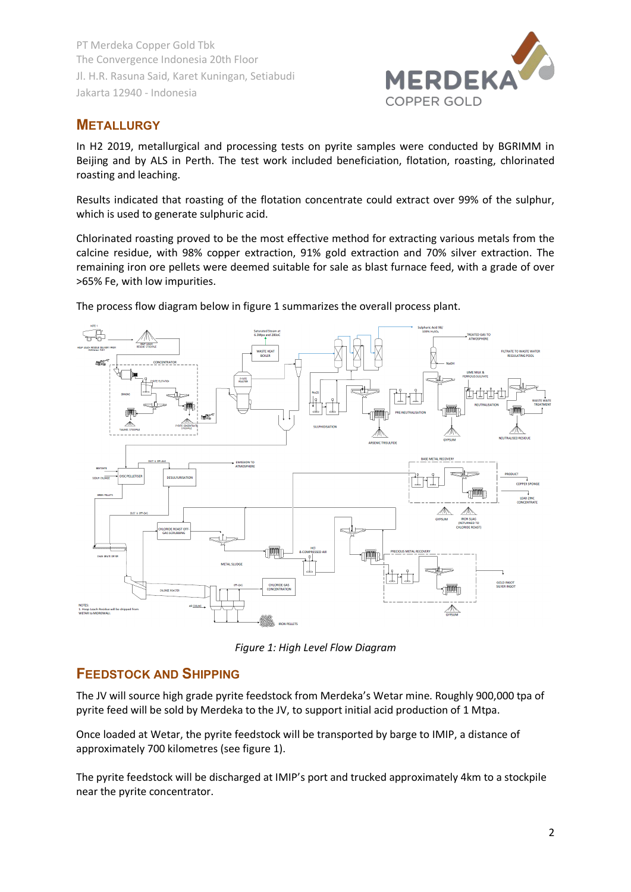

## **METALLURGY**

In H2 2019, metallurgical and processing tests on pyrite samples were conducted by BGRIMM in Beijing and by ALS in Perth. The test work included beneficiation, flotation, roasting, chlorinated roasting and leaching.

Results indicated that roasting of the flotation concentrate could extract over 99% of the sulphur, which is used to generate sulphuric acid.

Chlorinated roasting proved to be the most effective method for extracting various metals from the calcine residue, with 98% copper extraction, 91% gold extraction and 70% silver extraction. The remaining iron ore pellets were deemed suitable for sale as blast furnace feed, with a grade of over >65% Fe, with low impurities.



The process flow diagram below in figure 1 summarizes the overall process plant.

*Figure 1: High Level Flow Diagram*

#### **FEEDSTOCK AND SHIPPING**

The JV will source high grade pyrite feedstock from Merdeka's Wetar mine. Roughly 900,000 tpa of pyrite feed will be sold by Merdeka to the JV, to support initial acid production of 1 Mtpa.

Once loaded at Wetar, the pyrite feedstock will be transported by barge to IMIP, a distance of approximately 700 kilometres (see figure 1).

The pyrite feedstock will be discharged at IMIP's port and trucked approximately 4km to a stockpile near the pyrite concentrator.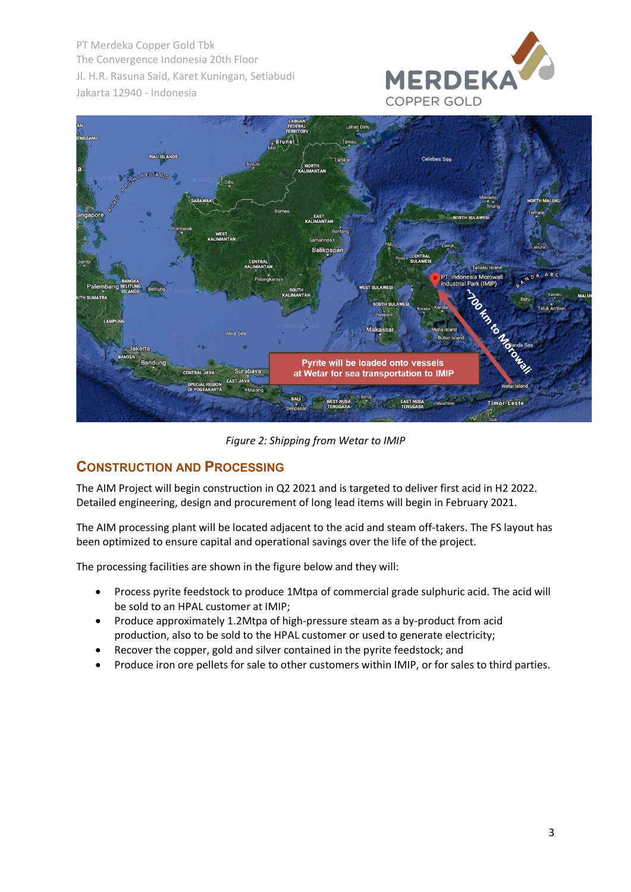



*Figure 2: Shipping from Wetar to IMIP*

#### **CONSTRUCTION AND PROCESSING**

The AIM Project will begin construction in Q2 2021 and is targeted to deliver first acid in H2 2022. Detailed engineering, design and procurement of long lead items will begin in February 2021.

The AIM processing plant will be located adjacent to the acid and steam off-takers. The FS layout has been optimized to ensure capital and operational savings over the life of the project.

The processing facilities are shown in the figure below and they will:

- Process pyrite feedstock to produce 1Mtpa of commercial grade sulphuric acid. The acid will be sold to an HPAL customer at IMIP;
- Produce approximately 1.2Mtpa of high-pressure steam as a by-product from acid production, also to be sold to the HPAL customer or used to generate electricity;
- Recover the copper, gold and silver contained in the pyrite feedstock; and
- Produce iron ore pellets for sale to other customers within IMIP, or for sales to third parties.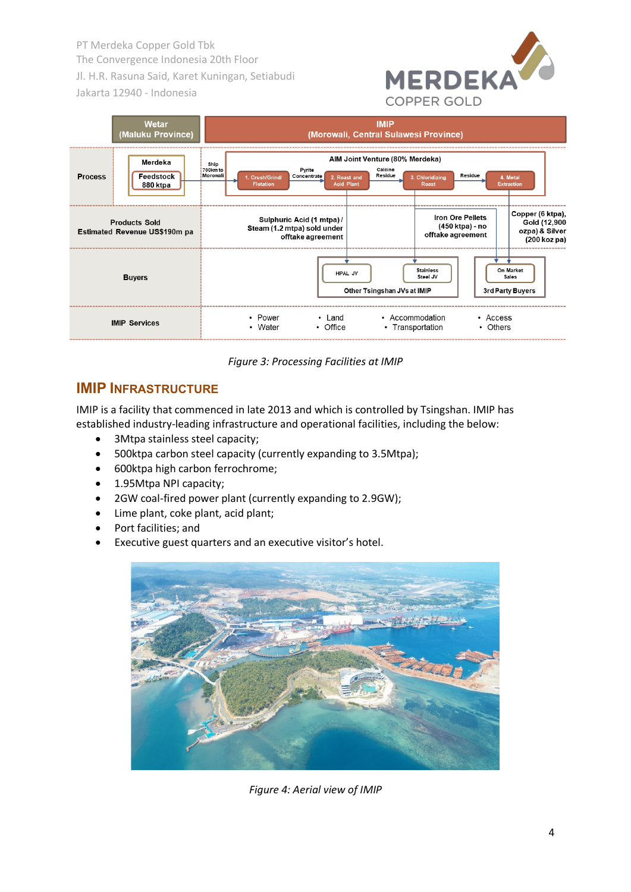



*Figure 3: Processing Facilities at IMIP*

### **IMIP INFRASTRUCTURE**

IMIP is a facility that commenced in late 2013 and which is controlled by Tsingshan. IMIP has established industry-leading infrastructure and operational facilities, including the below:

- 3Mtpa stainless steel capacity;
- 500ktpa carbon steel capacity (currently expanding to 3.5Mtpa);
- 600ktpa high carbon ferrochrome;
- 1.95Mtpa NPI capacity;
- 2GW coal-fired power plant (currently expanding to 2.9GW);
- Lime plant, coke plant, acid plant;
- Port facilities; and
- Executive guest quarters and an executive visitor's hotel.



*Figure 4: Aerial view of IMIP*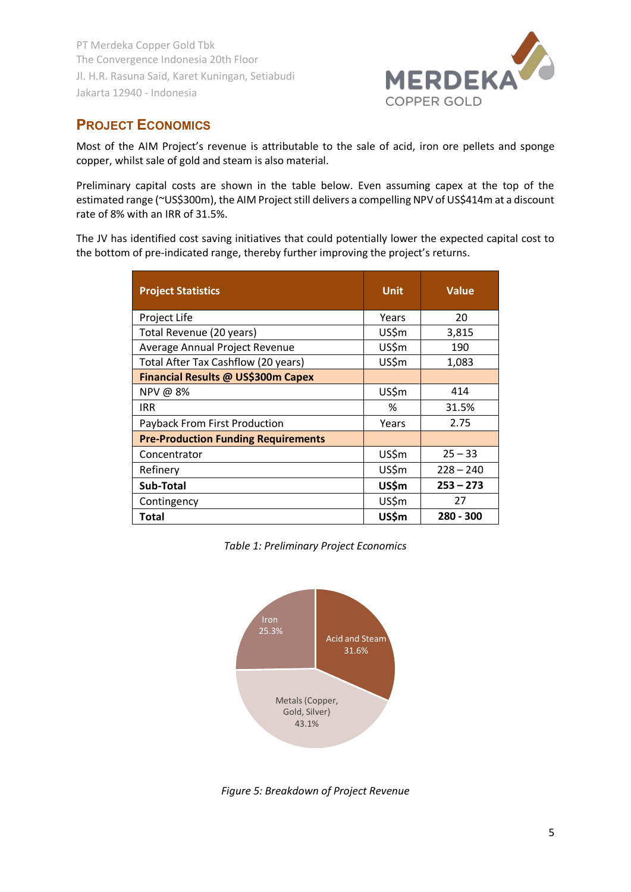

## **PROJECT ECONOMICS**

Most of the AIM Project's revenue is attributable to the sale of acid, iron ore pellets and sponge copper, whilst sale of gold and steam is also material.

Preliminary capital costs are shown in the table below. Even assuming capex at the top of the estimated range (~US\$300m), the AIM Project still delivers a compelling NPV of US\$414m at a discount rate of 8% with an IRR of 31.5%.

The JV has identified cost saving initiatives that could potentially lower the expected capital cost to the bottom of pre-indicated range, thereby further improving the project's returns.

| <b>Project Statistics</b>                  | Unit  | <b>Value</b> |
|--------------------------------------------|-------|--------------|
| Project Life                               | Years | 20           |
| Total Revenue (20 years)                   | US\$m | 3,815        |
| Average Annual Project Revenue             | US\$m | 190          |
| Total After Tax Cashflow (20 years)        | US\$m | 1,083        |
| Financial Results @ US\$300m Capex         |       |              |
| NPV @ 8%                                   | US\$m | 414          |
| <b>IRR</b>                                 | %     | 31.5%        |
| Payback From First Production              | Years | 2.75         |
| <b>Pre-Production Funding Requirements</b> |       |              |
| Concentrator                               | US\$m | $25 - 33$    |
| Refinery                                   | US\$m | $228 - 240$  |
| Sub-Total                                  | US\$m | $253 - 273$  |
| Contingency                                | US\$m | 27           |
| Total                                      | US\$m | $280 - 300$  |

*Table 1: Preliminary Project Economics* 



*Figure 5: Breakdown of Project Revenue*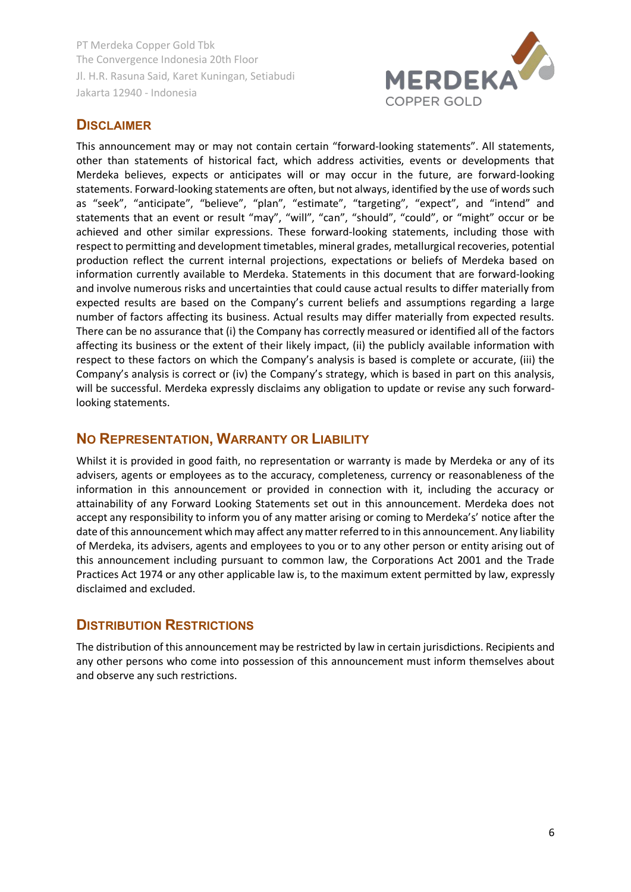

### **DISCLAIMER**

This announcement may or may not contain certain "forward-looking statements". All statements, other than statements of historical fact, which address activities, events or developments that Merdeka believes, expects or anticipates will or may occur in the future, are forward-looking statements. Forward-looking statements are often, but not always, identified by the use of words such as "seek", "anticipate", "believe", "plan", "estimate", "targeting", "expect", and "intend" and statements that an event or result "may", "will", "can", "should", "could", or "might" occur or be achieved and other similar expressions. These forward-looking statements, including those with respect to permitting and development timetables, mineral grades, metallurgical recoveries, potential production reflect the current internal projections, expectations or beliefs of Merdeka based on information currently available to Merdeka. Statements in this document that are forward-looking and involve numerous risks and uncertainties that could cause actual results to differ materially from expected results are based on the Company's current beliefs and assumptions regarding a large number of factors affecting its business. Actual results may differ materially from expected results. There can be no assurance that (i) the Company has correctly measured or identified all of the factors affecting its business or the extent of their likely impact, (ii) the publicly available information with respect to these factors on which the Company's analysis is based is complete or accurate, (iii) the Company's analysis is correct or (iv) the Company's strategy, which is based in part on this analysis, will be successful. Merdeka expressly disclaims any obligation to update or revise any such forwardlooking statements.

#### **NO REPRESENTATION, WARRANTY OR LIABILITY**

Whilst it is provided in good faith, no representation or warranty is made by Merdeka or any of its advisers, agents or employees as to the accuracy, completeness, currency or reasonableness of the information in this announcement or provided in connection with it, including the accuracy or attainability of any Forward Looking Statements set out in this announcement. Merdeka does not accept any responsibility to inform you of any matter arising or coming to Merdeka's' notice after the date of this announcement which may affect any matter referred to in this announcement. Any liability of Merdeka, its advisers, agents and employees to you or to any other person or entity arising out of this announcement including pursuant to common law, the Corporations Act 2001 and the Trade Practices Act 1974 or any other applicable law is, to the maximum extent permitted by law, expressly disclaimed and excluded.

#### **DISTRIBUTION RESTRICTIONS**

The distribution of this announcement may be restricted by law in certain jurisdictions. Recipients and any other persons who come into possession of this announcement must inform themselves about and observe any such restrictions.